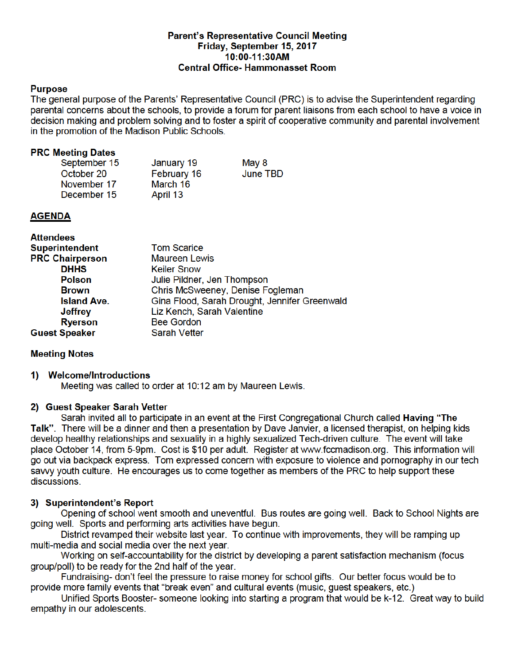## Parent's Representative Council Meeting Friday, September 15, 2017 10:0011:30AM Central Office- Hammonasset Room

## Purpose

The general purpose of the Parents' Representative Council (PRC) is to advise the Superintendent regarding parental concerns about the schools, to provide a forum for parent liaisons from each school to have a voice in decision making and problem solving and to foster a spirit of cooperative community and parental involvement in the promotion of the Madison Public Schools.

#### **PRC Meeting Dates**

| September 15 | January 19  | May 8    |
|--------------|-------------|----------|
| October 20   | February 16 | June TBD |
| November 17  | March 16    |          |
| December 15  | April 13    |          |

## **AGENDA**

| <b>Attendees</b>       |                                               |
|------------------------|-----------------------------------------------|
| <b>Superintendent</b>  | <b>Tom Scarice</b>                            |
| <b>PRC Chairperson</b> | <b>Maureen Lewis</b>                          |
| <b>DHHS</b>            | <b>Keiler Snow</b>                            |
| <b>Polson</b>          | Julie Pildner, Jen Thompson                   |
| <b>Brown</b>           | Chris McSweeney, Denise Fogleman              |
| <b>Island Ave.</b>     | Gina Flood, Sarah Drought, Jennifer Greenwald |
| <b>Jeffrey</b>         | Liz Kench, Sarah Valentine                    |
| <b>Ryerson</b>         | <b>Bee Gordon</b>                             |
| <b>Guest Speaker</b>   | <b>Sarah Vetter</b>                           |

# **Meeting Notes**

## 1) Welcome/Introductions

Meeting was called to order at 10:12 am by Maureen Lewis.

## 2) Guest Speaker Sarah Vetter

Sarah invited all to participate in an event at the First Congregational Church called Having "The Talk". There will be a dinner and then a presentation by Dave Janvier, a licensed therapist, on helping kids develop healthy relationships and sexuality in a highly sexualized Tech-driven culture. The event will take place October 14, from 5-9pm. Cost is \$10 per adult. Register at www.fccmadison.org. This information will go out via backpack express. Tom expressed concern with exposure to violence and pornography in our tech savvy youth culture. He encourages us to come together as members of the PRC to help support these discussions.

## 3) Superintendent's Report

Opening of school went smooth and uneventful. Bus routes are going well. Back to School Nights are going well. Sports and performing arts activities have begun.

District revamped their website last year. To continue with improvements, they will be ramping up multi-media and social media over the next year.

Working on self-accountability for the district by developing a parent satisfaction mechanism (focus group/poll) to be ready for the 2nd half of the year.

Fundraising- don't feel the pressure to raise money for school gifts. Our better focus would be to provide more family events that "break even" and cultural events (music, quest speakers, etc.)

Unified Sports Booster- someone looking into starting a program that would be k-12. Great way to build empathy in our adolescents.